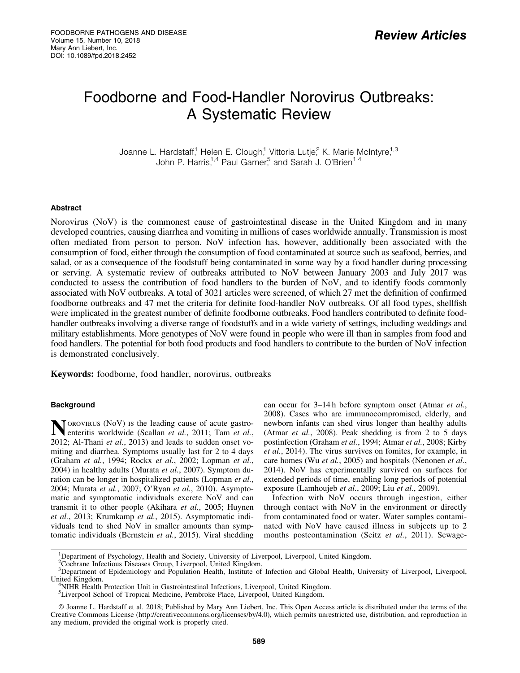# Foodborne and Food-Handler Norovirus Outbreaks: A Systematic Review

Joanne L. Hardstaff,<sup>1</sup> Helen E. Clough,<sup>1</sup> Vittoria Lutje,<sup>2</sup> K. Marie McIntyre,<sup>1,3</sup> John P. Harris,<sup>1,4</sup> Paul Garner,<sup>5</sup> and Sarah J. O'Brien<sup>1,4</sup>

# Abstract

Norovirus (NoV) is the commonest cause of gastrointestinal disease in the United Kingdom and in many developed countries, causing diarrhea and vomiting in millions of cases worldwide annually. Transmission is most often mediated from person to person. NoV infection has, however, additionally been associated with the consumption of food, either through the consumption of food contaminated at source such as seafood, berries, and salad, or as a consequence of the foodstuff being contaminated in some way by a food handler during processing or serving. A systematic review of outbreaks attributed to NoV between January 2003 and July 2017 was conducted to assess the contribution of food handlers to the burden of NoV, and to identify foods commonly associated with NoV outbreaks. A total of 3021 articles were screened, of which 27 met the definition of confirmed foodborne outbreaks and 47 met the criteria for definite food-handler NoV outbreaks. Of all food types, shellfish were implicated in the greatest number of definite foodborne outbreaks. Food handlers contributed to definite foodhandler outbreaks involving a diverse range of foodstuffs and in a wide variety of settings, including weddings and military establishments. More genotypes of NoV were found in people who were ill than in samples from food and food handlers. The potential for both food products and food handlers to contribute to the burden of NoV infection is demonstrated conclusively.

Keywords: foodborne, food handler, norovirus, outbreaks

# **Background**

Norovirus (NoV) is the leading cause of acute gastro-<br>enteritis worldwide (Scallan *et al.*, 2011; Tam *et al.*, 2012; Al-Thani *et al.*, 2013) and leads to sudden onset vomiting and diarrhea. Symptoms usually last for 2 to 4 days (Graham *et al.*, 1994; Rockx *et al.*, 2002; Lopman *et al.*, 2004) in healthy adults (Murata *et al.*, 2007). Symptom duration can be longer in hospitalized patients (Lopman *et al.*, 2004; Murata *et al.*, 2007; O'Ryan *et al.*, 2010). Asymptomatic and symptomatic individuals excrete NoV and can transmit it to other people (Akihara *et al.*, 2005; Huynen *et al.*, 2013; Krumkamp *et al.*, 2015). Asymptomatic individuals tend to shed NoV in smaller amounts than symptomatic individuals (Bernstein *et al.*, 2015). Viral shedding can occur for 3–14 h before symptom onset (Atmar *et al.*, 2008). Cases who are immunocompromised, elderly, and newborn infants can shed virus longer than healthy adults (Atmar *et al.*, 2008). Peak shedding is from 2 to 5 days postinfection (Graham *et al.*, 1994; Atmar *et al.*, 2008; Kirby *et al.*, 2014). The virus survives on fomites, for example, in care homes (Wu *et al.*, 2005) and hospitals (Nenonen *et al.*, 2014). NoV has experimentally survived on surfaces for extended periods of time, enabling long periods of potential exposure (Lamhoujeb *et al.*, 2009; Liu *et al.*, 2009).

Infection with NoV occurs through ingestion, either through contact with NoV in the environment or directly from contaminated food or water. Water samples contaminated with NoV have caused illness in subjects up to 2 months postcontamination (Seitz *et al.*, 2011). Sewage-

<sup>&</sup>lt;sup>1</sup>Department of Psychology, Health and Society, University of Liverpool, Liverpool, United Kingdom.

<sup>&</sup>lt;sup>2</sup>Cochrane Infectious Diseases Group, Liverpool, United Kingdom.

<sup>&</sup>lt;sup>3</sup>Department of Epidemiology and Population Health, Institute of Infection and Global Health, University of Liverpool, Liverpool, United Kingdom. <sup>4</sup>

NIHR Health Protection Unit in Gastrointestinal Infections, Liverpool, United Kingdom.

<sup>5</sup> Liverpool School of Tropical Medicine, Pembroke Place, Liverpool, United Kingdom.

ª Joanne L. Hardstaff et al. 2018; Published by Mary Ann Liebert, Inc. This Open Access article is distributed under the terms of the Creative Commons License (http://creativecommons.org/licenses/by/4.0), which permits unrestricted use, distribution, and reproduction in any medium, provided the original work is properly cited.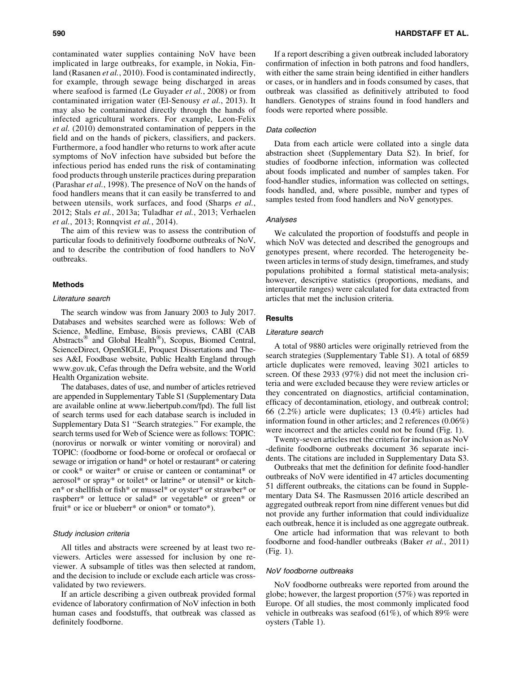contaminated water supplies containing NoV have been implicated in large outbreaks, for example, in Nokia, Finland (Rasanen *et al.*, 2010). Food is contaminated indirectly, for example, through sewage being discharged in areas where seafood is farmed (Le Guyader *et al.*, 2008) or from contaminated irrigation water (El-Senousy *et al.*, 2013). It may also be contaminated directly through the hands of infected agricultural workers. For example, Leon-Felix *et al.* (2010) demonstrated contamination of peppers in the field and on the hands of pickers, classifiers, and packers. Furthermore, a food handler who returns to work after acute symptoms of NoV infection have subsided but before the infectious period has ended runs the risk of contaminating food products through unsterile practices during preparation (Parashar *et al.*, 1998). The presence of NoV on the hands of food handlers means that it can easily be transferred to and between utensils, work surfaces, and food (Sharps *et al.*, 2012; Stals *et al.*, 2013a; Tuladhar *et al.*, 2013; Verhaelen *et al.*, 2013; Ronnqvist *et al.*, 2014).

The aim of this review was to assess the contribution of particular foods to definitively foodborne outbreaks of NoV, and to describe the contribution of food handlers to NoV outbreaks.

## Methods

# Literature search

The search window was from January 2003 to July 2017. Databases and websites searched were as follows: Web of Science, Medline, Embase, Biosis previews, CABI (CAB Abstracts<sup>®</sup> and Global Health<sup>®</sup>), Scopus, Biomed Central, ScienceDirect, OpenSIGLE, Proquest Dissertations and Theses A&I, Foodbase website, Public Health England through [www.gov.uk,](www.gov.uk) Cefas through the Defra website, and the World Health Organization website.

The databases, dates of use, and number of articles retrieved are appended in Supplementary Table S1 (Supplementary Data are available online at [www.liebertpub.com/fpd\)](www.liebertpub.com/fpd). The full list of search terms used for each database search is included in Supplementary Data S1 ''Search strategies.'' For example, the search terms used for Web of Science were as follows: TOPIC: (norovirus or norwalk or winter vomiting or noroviral) and TOPIC: (foodborne or food-borne or orofecal or orofaecal or sewage or irrigation or hand\* or hotel or restaurant\* or catering or cook\* or waiter\* or cruise or canteen or contaminat\* or aerosol\* or spray\* or toilet\* or latrine\* or utensil\* or kitchen\* or shellfish or fish\* or mussel\* or oyster\* or strawber\* or raspberr\* or lettuce or salad\* or vegetable\* or green\* or fruit\* or ice or blueberr\* or onion\* or tomato\*).

## Study inclusion criteria

All titles and abstracts were screened by at least two reviewers. Articles were assessed for inclusion by one reviewer. A subsample of titles was then selected at random, and the decision to include or exclude each article was crossvalidated by two reviewers.

If an article describing a given outbreak provided formal evidence of laboratory confirmation of NoV infection in both human cases and foodstuffs, that outbreak was classed as definitely foodborne.

If a report describing a given outbreak included laboratory confirmation of infection in both patrons and food handlers, with either the same strain being identified in either handlers or cases, or in handlers and in foods consumed by cases, that outbreak was classified as definitively attributed to food handlers. Genotypes of strains found in food handlers and foods were reported where possible.

## Data collection

Data from each article were collated into a single data abstraction sheet (Supplementary Data S2). In brief, for studies of foodborne infection, information was collected about foods implicated and number of samples taken. For food-handler studies, information was collected on settings, foods handled, and, where possible, number and types of samples tested from food handlers and NoV genotypes.

# Analyses

We calculated the proportion of foodstuffs and people in which NoV was detected and described the genogroups and genotypes present, where recorded. The heterogeneity between articles in terms of study design, timeframes, and study populations prohibited a formal statistical meta-analysis; however, descriptive statistics (proportions, medians, and interquartile ranges) were calculated for data extracted from articles that met the inclusion criteria.

# **Results**

# Literature search

A total of 9880 articles were originally retrieved from the search strategies (Supplementary Table S1). A total of 6859 article duplicates were removed, leaving 3021 articles to screen. Of these 2933 (97%) did not meet the inclusion criteria and were excluded because they were review articles or they concentrated on diagnostics, artificial contamination, efficacy of decontamination, etiology, and outbreak control; 66 (2.2%) article were duplicates; 13 (0.4%) articles had information found in other articles; and 2 references (0.06%) were incorrect and the articles could not be found (Fig. 1).

Twenty-seven articles met the criteria for inclusion as NoV -definite foodborne outbreaks document 36 separate incidents. The citations are included in Supplementary Data S3.

Outbreaks that met the definition for definite food-handler outbreaks of NoV were identified in 47 articles documenting 51 different outbreaks, the citations can be found in Supplementary Data S4. The Rasmussen 2016 article described an aggregated outbreak report from nine different venues but did not provide any further information that could individualize each outbreak, hence it is included as one aggregate outbreak.

One article had information that was relevant to both foodborne and food-handler outbreaks (Baker *et al.*, 2011) (Fig. 1).

# NoV foodborne outbreaks

NoV foodborne outbreaks were reported from around the globe; however, the largest proportion (57%) was reported in Europe. Of all studies, the most commonly implicated food vehicle in outbreaks was seafood (61%), of which 89% were oysters (Table 1).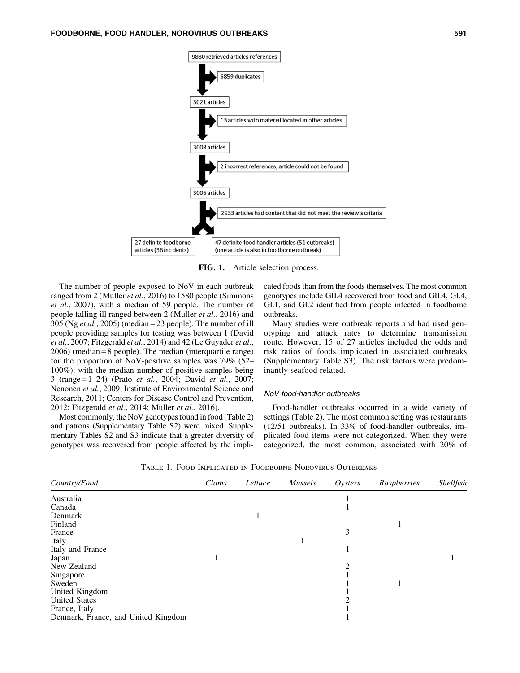

FIG. 1. Article selection process.

The number of people exposed to NoV in each outbreak ranged from 2 (Muller *et al.*, 2016) to 1580 people (Simmons *et al.*, 2007), with a median of 59 people. The number of people falling ill ranged between 2 (Muller *et al.*, 2016) and 305 (Ng *et al.*, 2005) (median = 23 people). The number of ill people providing samples for testing was between 1 (David *et al.*, 2007; Fitzgerald *et al.*, 2014) and 42 (Le Guyader *et al.*, 2006) (median = 8 people). The median (interquartile range) for the proportion of NoV-positive samples was 79% (52– 100%), with the median number of positive samples being 3 (range = 1–24) (Prato *et al.*, 2004; David *et al.*, 2007; Nenonen *et al.*, 2009; Institute of Environmental Science and Research, 2011; Centers for Disease Control and Prevention, 2012; Fitzgerald *et al.*, 2014; Muller *et al.*, 2016).

Most commonly, the NoV genotypes found in food (Table 2) and patrons (Supplementary Table S2) were mixed. Supplementary Tables S2 and S3 indicate that a greater diversity of genotypes was recovered from people affected by the implicated foods than from the foods themselves. The most common genotypes include GII.4 recovered from food and GII.4, GI.4, GI.1, and GI.2 identified from people infected in foodborne outbreaks.

Many studies were outbreak reports and had used genotyping and attack rates to determine transmission route. However, 15 of 27 articles included the odds and risk ratios of foods implicated in associated outbreaks (Supplementary Table S3). The risk factors were predominantly seafood related.

# NoV food-handler outbreaks

Food-handler outbreaks occurred in a wide variety of settings (Table 2). The most common setting was restaurants (12/51 outbreaks). In 33% of food-handler outbreaks, implicated food items were not categorized. When they were categorized, the most common, associated with 20% of

| Country/Food                        | Clams | Lettuce | <b>Mussels</b> | Oysters | Raspberries | Shellfish |
|-------------------------------------|-------|---------|----------------|---------|-------------|-----------|
| Australia                           |       |         |                |         |             |           |
| Canada                              |       |         |                |         |             |           |
| Denmark                             |       |         |                |         |             |           |
| Finland                             |       |         |                |         |             |           |
| France                              |       |         |                | 3       |             |           |
| Italy                               |       |         |                |         |             |           |
| Italy and France                    |       |         |                |         |             |           |
| Japan                               |       |         |                |         |             |           |
| New Zealand                         |       |         |                | 2       |             |           |
| Singapore                           |       |         |                |         |             |           |
| Sweden                              |       |         |                |         |             |           |
| United Kingdom                      |       |         |                |         |             |           |
| <b>United States</b>                |       |         |                |         |             |           |
| France, Italy                       |       |         |                |         |             |           |
| Denmark, France, and United Kingdom |       |         |                |         |             |           |

Table 1. Food Implicated in Foodborne Norovirus Outbreaks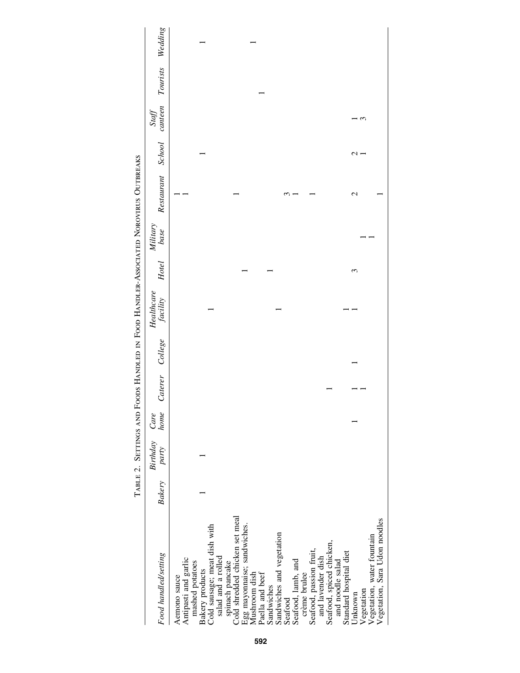|                                                                       |        |                   |              |                 |                        |       |                  | TABLE 2. SETTINGS AND FOODS HANDLED IN FOOD HANDLER-ASSOCIATED NOROVIRUS OUTBREAKS |        |                       |  |
|-----------------------------------------------------------------------|--------|-------------------|--------------|-----------------|------------------------|-------|------------------|------------------------------------------------------------------------------------|--------|-----------------------|--|
| Food handled/setting                                                  | Bakery | Birthday<br>party | home<br>Care | Caterer College | Healthcare<br>facility | Hotel | Military<br>base | Restaurant School canteen Tourists Wedding                                         |        | $S\iota\iota\iota\!f$ |  |
| Antipasti and garlic<br>mashed potatoes<br>Aemono sauce               |        |                   |              |                 |                        |       |                  |                                                                                    |        |                       |  |
|                                                                       |        |                   |              |                 |                        |       |                  |                                                                                    |        |                       |  |
| Bakery products<br>Cold sausage; meat dish with<br>salad and a rolled |        |                   |              |                 |                        |       |                  |                                                                                    |        |                       |  |
| spinach pancake                                                       |        |                   |              |                 |                        |       |                  |                                                                                    |        |                       |  |
| Cold shredded chicken set meal                                        |        |                   |              |                 |                        |       |                  |                                                                                    |        |                       |  |
| Egg mayonnaise; sandwiches.<br>Mushroom dish<br>Paella and beef       |        |                   |              |                 |                        |       |                  |                                                                                    |        |                       |  |
|                                                                       |        |                   |              |                 |                        |       |                  |                                                                                    |        |                       |  |
| Sandwiches                                                            |        |                   |              |                 |                        |       |                  |                                                                                    |        |                       |  |
| Sandwiches and vegetation                                             |        |                   |              |                 |                        |       |                  |                                                                                    |        |                       |  |
| Seafood                                                               |        |                   |              |                 |                        |       |                  | 3                                                                                  |        |                       |  |
| Seafood, lamb, and                                                    |        |                   |              |                 |                        |       |                  |                                                                                    |        |                       |  |
| crème brulee                                                          |        |                   |              |                 |                        |       |                  |                                                                                    |        |                       |  |
| Seafood, passion fruit,<br>and lavender dish                          |        |                   |              |                 |                        |       |                  |                                                                                    |        |                       |  |
|                                                                       |        |                   |              |                 |                        |       |                  |                                                                                    |        |                       |  |
| Seafood, spiced chicken,<br>and noodle salad                          |        |                   |              |                 |                        |       |                  |                                                                                    |        |                       |  |
|                                                                       |        |                   |              |                 |                        |       |                  |                                                                                    |        |                       |  |
| Standard hospital diet                                                |        |                   |              |                 |                        |       |                  |                                                                                    |        |                       |  |
| Unknown                                                               |        |                   |              |                 |                        | 3     |                  | $\mathcal{L}$                                                                      | $\sim$ |                       |  |
| Vegetation                                                            |        |                   |              |                 |                        |       |                  |                                                                                    |        | $\mathfrak{c}$        |  |
| Vegetation, Sara Udon noodles<br>Vegetation, water fountain           |        |                   |              |                 |                        |       |                  |                                                                                    |        |                       |  |
|                                                                       |        |                   |              |                 |                        |       |                  |                                                                                    |        |                       |  |

b ÷. Ü  $\mathbf c$ f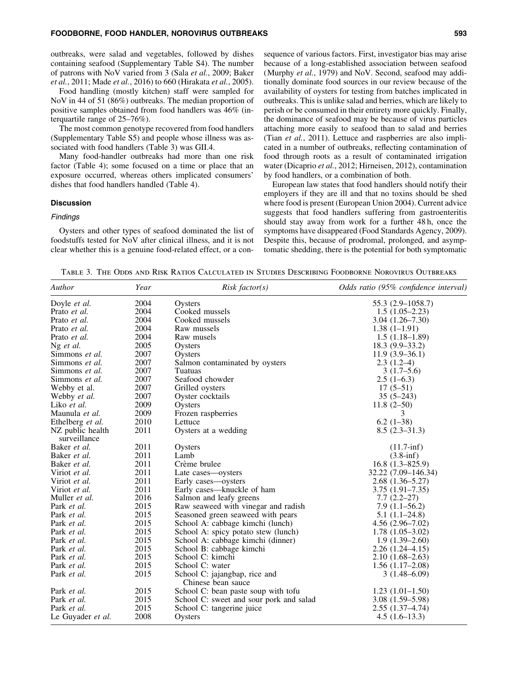outbreaks, were salad and vegetables, followed by dishes containing seafood (Supplementary Table S4). The number of patrons with NoV varied from 3 (Sala *et al.*, 2009; Baker *et al.*, 2011; Made *et al.*, 2016) to 660 (Hirakata *et al.*, 2005).

Food handling (mostly kitchen) staff were sampled for NoV in 44 of 51 (86%) outbreaks. The median proportion of positive samples obtained from food handlers was 46% (interquartile range of 25–76%).

The most common genotype recovered from food handlers (Supplementary Table S5) and people whose illness was associated with food handlers (Table 3) was GII.4.

Many food-handler outbreaks had more than one risk factor (Table 4); some focused on a time or place that an exposure occurred, whereas others implicated consumers' dishes that food handlers handled (Table 4).

## **Discussion**

## Findings

Oysters and other types of seafood dominated the list of foodstuffs tested for NoV after clinical illness, and it is not clear whether this is a genuine food-related effect, or a consequence of various factors. First, investigator bias may arise because of a long-established association between seafood (Murphy *et al.*, 1979) and NoV. Second, seafood may additionally dominate food sources in our review because of the availability of oysters for testing from batches implicated in outbreaks. This is unlike salad and berries, which are likely to perish or be consumed in their entirety more quickly. Finally, the dominance of seafood may be because of virus particles attaching more easily to seafood than to salad and berries (Tian *et al.*, 2011). Lettuce and raspberries are also implicated in a number of outbreaks, reflecting contamination of food through roots as a result of contaminated irrigation water (Dicaprio *et al.*, 2012; Hirneisen, 2012), contamination by food handlers, or a combination of both.

European law states that food handlers should notify their employers if they are ill and that no toxins should be shed where food is present (European Union 2004). Current advice suggests that food handlers suffering from gastroenteritis should stay away from work for a further 48 h, once the symptoms have disappeared (Food Standards Agency, 2009). Despite this, because of prodromal, prolonged, and asymptomatic shedding, there is the potential for both symptomatic

Table 3. The Odds and Risk Ratios Calculated in Studies Describing Foodborne Norovirus Outbreaks

| Author                           | Year | <i>Risk factor(s)</i>                               | Odds ratio (95% confidence interval) |
|----------------------------------|------|-----------------------------------------------------|--------------------------------------|
| Doyle et al.                     | 2004 | Oysters                                             | 55.3 (2.9–1058.7)                    |
| Prato <i>et al.</i>              | 2004 | Cooked mussels                                      | $1.5(1.05-2.23)$                     |
| Prato <i>et al.</i>              | 2004 | Cooked mussels                                      | $3.04(1.26 - 7.30)$                  |
| Prato <i>et al.</i>              | 2004 | Raw mussels                                         | $1.38(1-1.91)$                       |
| Prato <i>et al.</i>              | 2004 | Raw musels                                          | $1.5(1.18-1.89)$                     |
| Ng et al.                        | 2005 | Oysters                                             | $18.3(9.9-33.2)$                     |
| Simmons et al.                   | 2007 | Oysters                                             | $11.9(3.9-36.1)$                     |
| Simmons et al.                   | 2007 | Salmon contaminated by oysters                      | $2.3(1.2-4)$                         |
| Simmons et al.                   | 2007 | Tuatuas                                             | $3(1.7-5.6)$                         |
| Simmons et al.                   | 2007 | Seafood chowder                                     | $2.5(1-6.3)$                         |
| Webby et al.                     | 2007 | Grilled oysters                                     | $17(5-51)$                           |
| Webby et al.                     | 2007 | Oyster cocktails                                    | $35(5-243)$                          |
| Liko et al.                      | 2009 | Oysters                                             | $11.8(2-50)$                         |
| Maunula et al.                   | 2009 | Frozen raspberries                                  |                                      |
| Ethelberg et al.                 | 2010 | Lettuce                                             | $6.2(1-38)$                          |
| NZ public health<br>surveillance | 2011 | Oysters at a wedding                                | $8.5(2.3-31.3)$                      |
| Baker et al.                     | 2011 | Oysters                                             | $(11.7\text{-}inf)$                  |
| Baker et al.                     | 2011 | Lamb                                                | $(3.8\text{-}inf)$                   |
| Baker et al.                     | 2011 | Crème brulee                                        | $16.8(1.3 - 825.9)$                  |
| Viriot et al.                    | 2011 | Late cases—oysters                                  | 32.22 (7.09–146.34)                  |
| Viriot et al.                    | 2011 | Early cases—oysters                                 | $2.68(1.36 - 5.27)$                  |
| Viriot et al.                    | 2011 | Early cases—knuckle of ham                          | $3.75(1.91 - 7.35)$                  |
| Muller et al.                    | 2016 | Salmon and leafy greens                             | $7.7(2.2-27)$                        |
| Park et al.                      | 2015 | Raw seaweed with vinegar and radish                 | $7.9(1.1-56.2)$                      |
| Park et al.                      | 2015 | Seasoned green seaweed with pears                   | $5.1(1.1-24.8)$                      |
| Park et al.                      | 2015 | School A: cabbage kimchi (lunch)                    | $4.56(2.96 - 7.02)$                  |
| Park et al.                      | 2015 | School A: spicy potato stew (lunch)                 | $1.78(1.05-3.02)$                    |
| Park et al.                      | 2015 | School A: cabbage kimchi (dinner)                   | $1.9(1.39-2.60)$                     |
| Park et al.                      | 2015 | School B: cabbage kimchi                            | $2.26(1.24 - 4.15)$                  |
| Park et al.                      | 2015 | School C: kimchi                                    | $2.10(1.68-2.63)$                    |
| Park et al.                      | 2015 | School C: water                                     | $1.56(1.17-2.08)$                    |
| Park et al.                      | 2015 | School C: jajangbap, rice and<br>Chinese bean sauce | $3(1.48 - 6.09)$                     |
| Park et al.                      | 2015 | School C: bean paste soup with tofu                 | $1.23(1.01-1.50)$                    |
| Park et al.                      | 2015 | School C: sweet and sour pork and salad             | $3.08(1.59 - 5.98)$                  |
| Park <i>et al.</i>               | 2015 | School C: tangerine juice                           | $2.55(1.37-4.74)$                    |
| Le Guyader et al.                | 2008 | Oysters                                             | $4.5(1.6-13.3)$                      |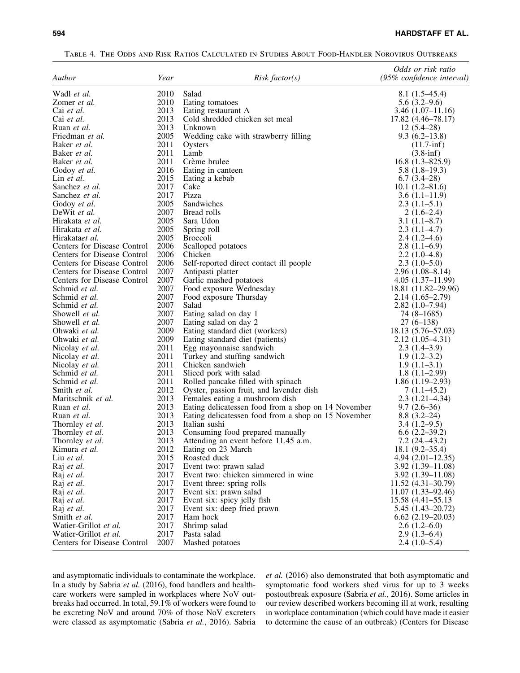| Author                      | Year | Risk factor(s)                                      | Odds or risk ratio<br>(95% confidence interval) |
|-----------------------------|------|-----------------------------------------------------|-------------------------------------------------|
| Wadl <i>et al</i> .         | 2010 | Salad                                               | $8.1(1.5-45.4)$                                 |
| Zomer et al.                | 2010 | Eating tomatoes                                     | $5.6(3.2 - 9.6)$                                |
| Cai et al.                  | 2013 | Eating restaurant A                                 | $3.46(1.07-11.16)$                              |
| Cai et al.                  | 2013 | Cold shredded chicken set meal                      | 17.82 (4.46–78.17)                              |
| Ruan et al.                 | 2013 | Unknown                                             | $12(5.4-28)$                                    |
| Friedman et al.             | 2005 | Wedding cake with strawberry filling                | $9.3(6.2-13.8)$                                 |
| Baker et al.                | 2011 | Oysters                                             | $(11.7 - inf)$                                  |
| Baker et al.                | 2011 | Lamb                                                | $(3.8\text{-}inf)$                              |
| Baker et al.                | 2011 | Crème brulee                                        | $16.8(1.3 - 825.9)$                             |
| Godoy et al.                | 2016 | Eating in canteen                                   | $5.8(1.8-19.3)$                                 |
| Lin et al.                  | 2015 | Eating a kebab                                      | $6.7(3.4-28)$                                   |
| Sanchez et al.              | 2017 | Cake                                                | $10.1(1.2-81.6)$                                |
| Sanchez et al.              | 2017 | Pizza                                               | $3.6(1.1-11.9)$                                 |
| Godoy et al.                | 2005 | Sandwiches                                          | $2.3(1.1-5.1)$                                  |
| DeWit et al.                | 2007 | Bread rolls                                         | $2(1.6-2.4)$                                    |
| Hirakata <i>et al</i> .     | 2005 | Sara Udon                                           | $3.1(1.1-8.7)$                                  |
| Hirakata et al.             | 2005 | Spring roll                                         | $2.3(1.1-4.7)$                                  |
| Hirakata <i>et al</i> .     | 2005 | <b>Broccoli</b>                                     | $2.4(1.2-4.6)$                                  |
| Centers for Disease Control | 2006 | Scalloped potatoes                                  | $2.8(1.1-6.9)$                                  |
| Centers for Disease Control | 2006 | Chicken                                             | $2.2(1.0-4.8)$                                  |
| Centers for Disease Control | 2006 | Self-reported direct contact ill people             | $2.3(1.0-5.0)$                                  |
| Centers for Disease Control | 2007 | Antipasti platter                                   | $2.96(1.08-8.14)$                               |
| Centers for Disease Control | 2007 | Garlic mashed potatoes                              | $4.05(1.37-11.99)$                              |
| Schmid et al.               | 2007 | Food exposure Wednesday                             | 18.81 (11.82–29.96)                             |
| Schmid et al.               | 2007 | Food exposure Thursday                              | $2.14(1.65-2.79)$                               |
| Schmid et al.               | 2007 | Salad                                               | $2.82(1.0-7.94)$                                |
| Showell <i>et al.</i>       | 2007 | Eating salad on day 1                               | 74 (8–1685)                                     |
| Showell et al.              | 2007 | Eating salad on day 2                               | $27(6-138)$                                     |
| Ohwaki <i>et al</i> .       | 2009 | Eating standard diet (workers)                      | 18.13 (5.76–57.03)                              |
| Ohwaki <i>et al</i> .       | 2009 | Eating standard diet (patients)                     | $2.12(1.05-4.31)$                               |
| Nicolay et al.              | 2011 | Egg mayonnaise sandwich                             | $2.3(1.4-3.9)$                                  |
| Nicolay et al.              | 2011 | Turkey and stuffing sandwich                        | $1.9(1.2-3.2)$                                  |
| Nicolay et al.              | 2011 | Chicken sandwich                                    | $1.9(1.1-3.1)$                                  |
| Schmid et al.               | 2011 | Sliced pork with salad                              | $1.8(1.1-2.99)$                                 |
| Schmid et al.               | 2011 | Rolled pancake filled with spinach                  | $1.86(1.19-2.93)$                               |
| Smith et al.                | 2012 | Oyster, passion fruit, and lavender dish            | $7(1.1-45.2)$                                   |
| Maritschnik et al.          | 2013 | Females eating a mushroom dish                      | $2.3(1.21-4.34)$                                |
| Ruan et al.                 | 2013 | Eating delicatessen food from a shop on 14 November | $9.7(2.6-36)$                                   |
| Ruan et al.                 | 2013 | Eating delicatessen food from a shop on 15 November | $8.8(3.2-24)$                                   |
| Thornley et al.             | 2013 | Italian sushi                                       | $3.4(1.2-9.5)$                                  |
| Thornley et al.             | 2013 | Consuming food prepared manually                    | $6.6(2.2-39.2)$                                 |
| Thornley et al.             | 2013 | Attending an event before 11.45 a.m.                | $7.2(24,-43.2)$                                 |
| Kimura <i>et al.</i>        | 2012 | Eating on 23 March                                  | $18.1 (9.2 - 35.4)$                             |
| Liu et al.                  | 2015 | Roasted duck                                        | $4.94(2.01-12.35)$                              |
| Raj et al.                  | 2017 | Event two: prawn salad                              | $3.92(1.39 - 11.08)$                            |
| Raj et al.                  | 2017 | Event two: chicken simmered in wine                 | $3.92(1.39 - 11.08)$                            |
| Raj et al.                  | 2017 | Event three: spring rolls                           | 11.52 (4.31-30.79)                              |
| Raj et al.                  | 2017 | Event six: prawn salad                              | $11.07(1.33 - 92.46)$                           |
| Raj et al.                  | 2017 | Event six: spicy jelly fish                         | 15.58 (4.41–55.13)                              |
| Raj et al.                  | 2017 | Event six: deep fried prawn                         | $5.45(1.43-20.72)$                              |
| Smith et al.                | 2017 | Ham hock                                            | $6.62$ $(2.19-20.03)$                           |
| Watier-Grillot et al.       | 2017 | Shrimp salad                                        | $2.6(1.2-6.0)$                                  |
| Watier-Grillot et al.       | 2017 | Pasta salad                                         | $2.9(1.3-6.4)$                                  |
| Centers for Disease Control | 2007 | Mashed potatoes                                     | $2.4(1.0-5.4)$                                  |

Table 4. The Odds and Risk Ratios Calculated in Studies About Food-Handler Norovirus Outbreaks

and asymptomatic individuals to contaminate the workplace. In a study by Sabria *et al.* (2016), food handlers and healthcare workers were sampled in workplaces where NoV outbreaks had occurred. In total, 59.1% of workers were found to be excreting NoV and around 70% of those NoV excreters were classed as asymptomatic (Sabria *et al.*, 2016). Sabria *et al.* (2016) also demonstrated that both asymptomatic and symptomatic food workers shed virus for up to 3 weeks postoutbreak exposure (Sabria *et al.*, 2016). Some articles in our review described workers becoming ill at work, resulting in workplace contamination (which could have made it easier to determine the cause of an outbreak) (Centers for Disease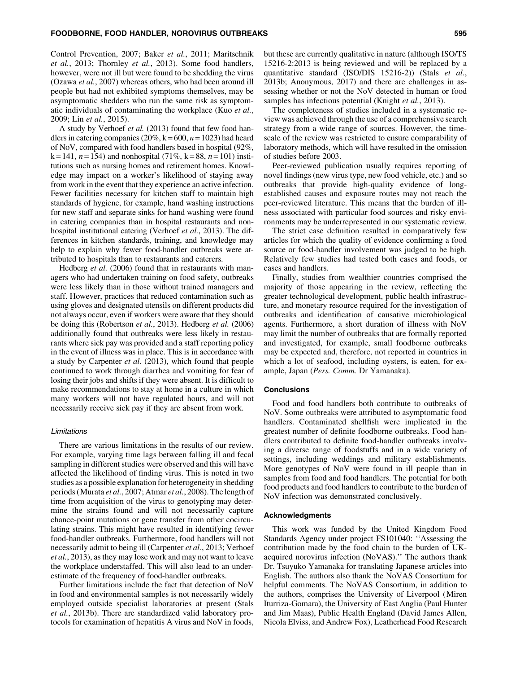## FOODBORNE, FOOD HANDLER, NOROVIRUS OUTBREAKS 595

Control Prevention, 2007; Baker *et al.*, 2011; Maritschnik *et al.*, 2013; Thornley *et al.*, 2013). Some food handlers, however, were not ill but were found to be shedding the virus (Ozawa *et al.*, 2007) whereas others, who had been around ill people but had not exhibited symptoms themselves, may be asymptomatic shedders who run the same risk as symptomatic individuals of contaminating the workplace (Kuo *et al.*, 2009; Lin *et al.*, 2015).

A study by Verhoef *et al.* (2013) found that few food handlers in catering companies  $(20\%, k = 600, n = 1023)$  had heard of NoV, compared with food handlers based in hospital (92%,  $k = 141$ ,  $n = 154$ ) and nonhospital (71%,  $k = 88$ ,  $n = 101$ ) institutions such as nursing homes and retirement homes. Knowledge may impact on a worker's likelihood of staying away from work in the event that they experience an active infection. Fewer facilities necessary for kitchen staff to maintain high standards of hygiene, for example, hand washing instructions for new staff and separate sinks for hand washing were found in catering companies than in hospital restaurants and nonhospital institutional catering (Verhoef *et al.*, 2013). The differences in kitchen standards, training, and knowledge may help to explain why fewer food-handler outbreaks were attributed to hospitals than to restaurants and caterers.

Hedberg *et al.* (2006) found that in restaurants with managers who had undertaken training on food safety, outbreaks were less likely than in those without trained managers and staff. However, practices that reduced contamination such as using gloves and designated utensils on different products did not always occur, even if workers were aware that they should be doing this (Robertson *et al.*, 2013). Hedberg *et al.* (2006) additionally found that outbreaks were less likely in restaurants where sick pay was provided and a staff reporting policy in the event of illness was in place. This is in accordance with a study by Carpenter *et al.* (2013), which found that people continued to work through diarrhea and vomiting for fear of losing their jobs and shifts if they were absent. It is difficult to make recommendations to stay at home in a culture in which many workers will not have regulated hours, and will not necessarily receive sick pay if they are absent from work.

### Limitations

There are various limitations in the results of our review. For example, varying time lags between falling ill and fecal sampling in different studies were observed and this will have affected the likelihood of finding virus. This is noted in two studies as a possible explanation for heterogeneity in shedding periods (Murata *et al.*, 2007; Atmar *et al.*, 2008). The length of time from acquisition of the virus to genotyping may determine the strains found and will not necessarily capture chance-point mutations or gene transfer from other cocirculating strains. This might have resulted in identifying fewer food-handler outbreaks. Furthermore, food handlers will not necessarily admit to being ill (Carpenter *et al.*, 2013; Verhoef *et al.*, 2013), as they may lose work and may not want to leave the workplace understaffed. This will also lead to an underestimate of the frequency of food-handler outbreaks.

Further limitations include the fact that detection of NoV in food and environmental samples is not necessarily widely employed outside specialist laboratories at present (Stals *et al.*, 2013b). There are standardized valid laboratory protocols for examination of hepatitis A virus and NoV in foods,

but these are currently qualitative in nature (although ISO/TS 15216-2:2013 is being reviewed and will be replaced by a quantitative standard (ISO/DIS 15216-2)) (Stals *et al.*, 2013b; Anonymous, 2017) and there are challenges in assessing whether or not the NoV detected in human or food samples has infectious potential (Knight *et al.*, 2013).

The completeness of studies included in a systematic review was achieved through the use of a comprehensive search strategy from a wide range of sources. However, the timescale of the review was restricted to ensure comparability of laboratory methods, which will have resulted in the omission of studies before 2003.

Peer-reviewed publication usually requires reporting of novel findings (new virus type, new food vehicle, etc.) and so outbreaks that provide high-quality evidence of longestablished causes and exposure routes may not reach the peer-reviewed literature. This means that the burden of illness associated with particular food sources and risky environments may be underrepresented in our systematic review.

The strict case definition resulted in comparatively few articles for which the quality of evidence confirming a food source or food-handler involvement was judged to be high. Relatively few studies had tested both cases and foods, or cases and handlers.

Finally, studies from wealthier countries comprised the majority of those appearing in the review, reflecting the greater technological development, public health infrastructure, and monetary resource required for the investigation of outbreaks and identification of causative microbiological agents. Furthermore, a short duration of illness with NoV may limit the number of outbreaks that are formally reported and investigated, for example, small foodborne outbreaks may be expected and, therefore, not reported in countries in which a lot of seafood, including oysters, is eaten, for example, Japan (*Pers. Comm.* Dr Yamanaka).

### **Conclusions**

Food and food handlers both contribute to outbreaks of NoV. Some outbreaks were attributed to asymptomatic food handlers. Contaminated shellfish were implicated in the greatest number of definite foodborne outbreaks. Food handlers contributed to definite food-handler outbreaks involving a diverse range of foodstuffs and in a wide variety of settings, including weddings and military establishments. More genotypes of NoV were found in ill people than in samples from food and food handlers. The potential for both food products and food handlers to contribute to the burden of NoV infection was demonstrated conclusively.

#### Acknowledgments

This work was funded by the United Kingdom Food Standards Agency under project FS101040: ''Assessing the contribution made by the food chain to the burden of UKacquired norovirus infection (NoVAS).'' The authors thank Dr. Tsuyuko Yamanaka for translating Japanese articles into English. The authors also thank the NoVAS Consortium for helpful comments. The NoVAS Consortium, in addition to the authors, comprises the University of Liverpool (Miren Iturriza-Gomara), the University of East Anglia (Paul Hunter and Jim Maas), Public Health England (David James Allen, Nicola Elviss, and Andrew Fox), Leatherhead Food Research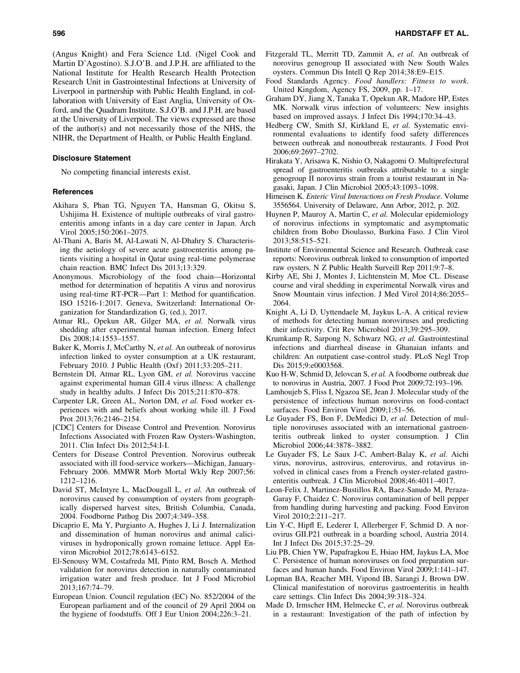(Angus Knight) and Fera Science Ltd. (Nigel Cook and Martin D'Agostino). S.J.O'B. and J.P.H. are affiliated to the National Institute for Health Research Health Protection Research Unit in Gastrointestinal Infections at University of Liverpool in partnership with Public Health England, in collaboration with University of East Anglia, University of Oxford, and the Quadram Institute. S.J.O'B. and J.P.H. are based at the University of Liverpool. The views expressed are those of the author(s) and not necessarily those of the NHS, the NIHR, the Department of Health, or Public Health England.

# Disclosure Statement

No competing financial interests exist.

## References

- Akihara S, Phan TG, Nguyen TA, Hansman G, Okitsu S, Ushijima H. Existence of multiple outbreaks of viral gastroenteritis among infants in a day care center in Japan. Arch Virol 2005;150:2061–2075.
- Al-Thani A, Baris M, Al-Lawati N, Al-Dhahry S. Characterising the aetiology of severe acute gastroenteritis among patients visiting a hospital in Qatar using real-time polymerase chain reaction. BMC Infect Dis 2013;13:329.
- Anonymous. Microbiology of the food chain—Horizontal method for determination of hepatitis A virus and norovirus using real-time RT-PCR—Part 1: Method for quantification. ISO 15216-1:2017. Geneva, Switzerland: International Organization for Standardization G, (ed.), 2017.
- Atmar RL, Opekun AR, Gilger MA, *et al.* Norwalk virus shedding after experimental human infection. Emerg Infect Dis 2008;14:1553–1557.
- Baker K, Morris J, McCarthy N, *et al.* An outbreak of norovirus infection linked to oyster consumption at a UK restaurant, February 2010. J Public Health (Oxf) 2011;33:205-211.
- Bernstein DI, Atmar RL, Lyon GM, *et al.* Norovirus vaccine against experimental human GII.4 virus illness: A challenge study in healthy adults. J Infect Dis 2015;211:870–878.
- Carpenter LR, Green AL, Norton DM, *et al.* Food worker experiences with and beliefs about working while ill. J Food Prot 2013;76:2146–2154.
- [CDC] Centers for Disease Control and Prevention. Norovirus Infections Associated with Frozen Raw Oysters-Washington, 2011. Clin Infect Dis 2012;54:I-I.
- Centers for Disease Control Prevention. Norovirus outbreak associated with ill food-service workers—Michigan, January-February 2006. MMWR Morb Mortal Wkly Rep 2007;56: 1212–1216.
- David ST, McIntyre L, MacDougall L, *et al.* An outbreak of norovirus caused by consumption of oysters from geographically dispersed harvest sites, British Columbia, Canada, 2004. Foodborne Pathog Dis 2007;4:349–358.
- Dicaprio E, Ma Y, Purgianto A, Hughes J, Li J. Internalization and dissemination of human norovirus and animal caliciviruses in hydroponically grown romaine lettuce. Appl Environ Microbiol 2012;78:6143–6152.
- El-Senousy WM, Costafreda MI, Pinto RM, Bosch A. Method validation for norovirus detection in naturally contaminated irrigation water and fresh produce. Int J Food Microbiol 2013;167:74–79.
- European Union. Council regulation (EC) No. 852/2004 of the European parliament and of the council of 29 April 2004 on the hygiene of foodstuffs. Off J Eur Union 2004;226:3–21.
- Fitzgerald TL, Merritt TD, Zammit A, *et al.* An outbreak of norovirus genogroup II associated with New South Wales oysters. Commun Dis Intell Q Rep 2014;38:E9–E15.
- Food Standards Agency. *Food handlers: Fitness to work*. United Kingdom, Agency FS, 2009, pp. 1–17.
- Graham DY, Jiang X, Tanaka T, Opekun AR, Madore HP, Estes MK. Norwalk virus infection of volunteers: New insights based on improved assays. J Infect Dis 1994;170:34–43.
- Hedberg CW, Smith SJ, Kirkland E, *et al.* Systematic environmental evaluations to identify food safety differences between outbreak and nonoutbreak restaurants. J Food Prot 2006;69:2697–2702.
- Hirakata Y, Arisawa K, Nishio O, Nakagomi O. Multiprefectural spread of gastroenteritis outbreaks attributable to a single genogroup II norovirus strain from a tourist restaurant in Nagasaki, Japan. J Clin Microbiol 2005;43:1093–1098.
- Hirneisen K. *Enteric Viral Interactions on Fresh Produce*. Volume 3556564. University of Delaware, Ann Arbor, 2012, p. 202.
- Huynen P, Mauroy A, Martin C, *et al.* Molecular epidemiology of norovirus infections in symptomatic and asymptomatic children from Bobo Dioulasso, Burkina Faso. J Clin Virol 2013;58:515–521.
- Institute of Environmental Science and Research. Outbreak case reports: Norovirus outbreak linked to consumption of imported raw oysters. N Z Public Health Surveill Rep 2011;9:7–8.
- Kirby AE, Shi J, Montes J, Lichtenstein M, Moe CL. Disease course and viral shedding in experimental Norwalk virus and Snow Mountain virus infection. J Med Virol 2014;86:2055– 2064.
- Knight A, Li D, Uyttendaele M, Jaykus L-A. A critical review of methods for detecting human noroviruses and predicting their infectivity. Crit Rev Microbiol 2013;39:295–309.
- Krumkamp R, Sarpong N, Schwarz NG, *et al.* Gastrointestinal infections and diarrheal disease in Ghanaian infants and children: An outpatient case-control study. PLoS Negl Trop Dis 2015;9:e0003568.
- Kuo H-W, Schmid D, Jelovcan S, *et al.* A foodborne outbreak due to norovirus in Austria, 2007. J Food Prot 2009;72:193–196.
- Lamhoujeb S, Fliss I, Ngazoa SE, Jean J. Molecular study of the persistence of infectious human norovirus on food-contact surfaces. Food Environ Virol 2009;1:51–56.
- Le Guyader FS, Bon F, DeMedici D, *et al.* Detection of multiple noroviruses associated with an international gastroenteritis outbreak linked to oyster consumption. J Clin Microbiol 2006;44:3878–3882.
- Le Guyader FS, Le Saux J-C, Ambert-Balay K, *et al.* Aichi virus, norovirus, astrovirus, enterovirus, and rotavirus involved in clinical cases from a French oyster-related gastroenteritis outbreak. J Clin Microbiol 2008;46:4011–4017.
- Leon-Felix J, Martinez-Bustillos RA, Baez-Sanudo M, Peraza-Garay F, Chaidez C. Norovirus contamination of bell pepper from handling during harvesting and packing. Food Environ Virol 2010;2:211–217.
- Lin Y-C, Hipfl E, Lederer I, Allerberger F, Schmid D. A norovirus GII.P21 outbreak in a boarding school, Austria 2014. Int J Infect Dis 2015;37:25–29.
- Liu PB, Chien YW, Papafragkou E, Hsiao HM, Jaykus LA, Moe C. Persistence of human noroviruses on food preparation surfaces and human hands. Food Environ Virol 2009;1:141–147.
- Lopman BA, Reacher MH, Vipond IB, Sarangi J, Brown DW. Clinical manifestation of norovirus gastroenteritis in health care settings. Clin Infect Dis 2004;39:318–324.
- Made D, Irmscher HM, Helmecke C, *et al.* Norovirus outbreak in a restaurant: Investigation of the path of infection by